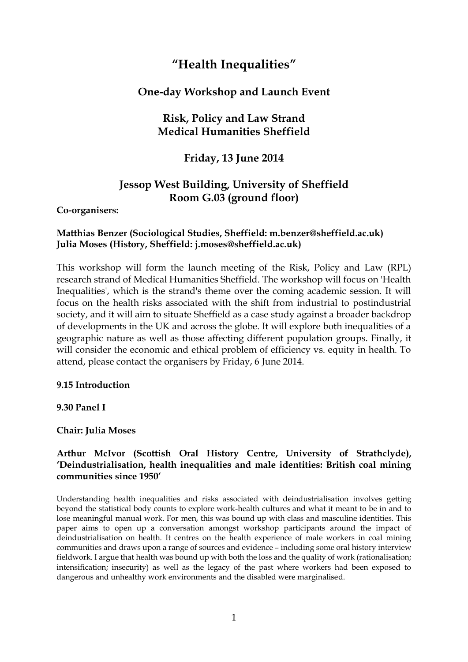# **"Health Inequalities"**

## **One-day Workshop and Launch Event**

# **Risk, Policy and Law Strand Medical Humanities Sheffield**

# **Friday, 13 June 2014**

# **Jessop West Building, University of Sheffield Room G.03 (ground floor)**

### **Co-organisers:**

### **Matthias Benzer (Sociological Studies, Sheffield: m.benzer@sheffield.ac.uk) Julia Moses (History, Sheffield: j.moses@sheffield.ac.uk)**

This workshop will form the launch meeting of the Risk, Policy and Law (RPL) research strand of Medical Humanities Sheffield. The workshop will focus on 'Health Inequalities', which is the strand's theme over the coming academic session. It will focus on the health risks associated with the shift from industrial to postindustrial society, and it will aim to situate Sheffield as a case study against a broader backdrop of developments in the UK and across the globe. It will explore both inequalities of a geographic nature as well as those affecting different population groups. Finally, it will consider the economic and ethical problem of efficiency vs. equity in health. To attend, please contact the organisers by Friday, 6 June 2014.

#### **9.15 Introduction**

### **9.30 Panel I**

### **Chair: Julia Moses**

### **Arthur McIvor (Scottish Oral History Centre, University of Strathclyde), 'Deindustrialisation, health inequalities and male identities: British coal mining communities since 1950'**

Understanding health inequalities and risks associated with deindustrialisation involves getting beyond the statistical body counts to explore work-health cultures and what it meant to be in and to lose meaningful manual work. For men, this was bound up with class and masculine identities. This paper aims to open up a conversation amongst workshop participants around the impact of deindustrialisation on health. It centres on the health experience of male workers in coal mining communities and draws upon a range of sources and evidence – including some oral history interview fieldwork. I argue that health was bound up with both the loss and the quality of work (rationalisation; intensification; insecurity) as well as the legacy of the past where workers had been exposed to dangerous and unhealthy work environments and the disabled were marginalised.